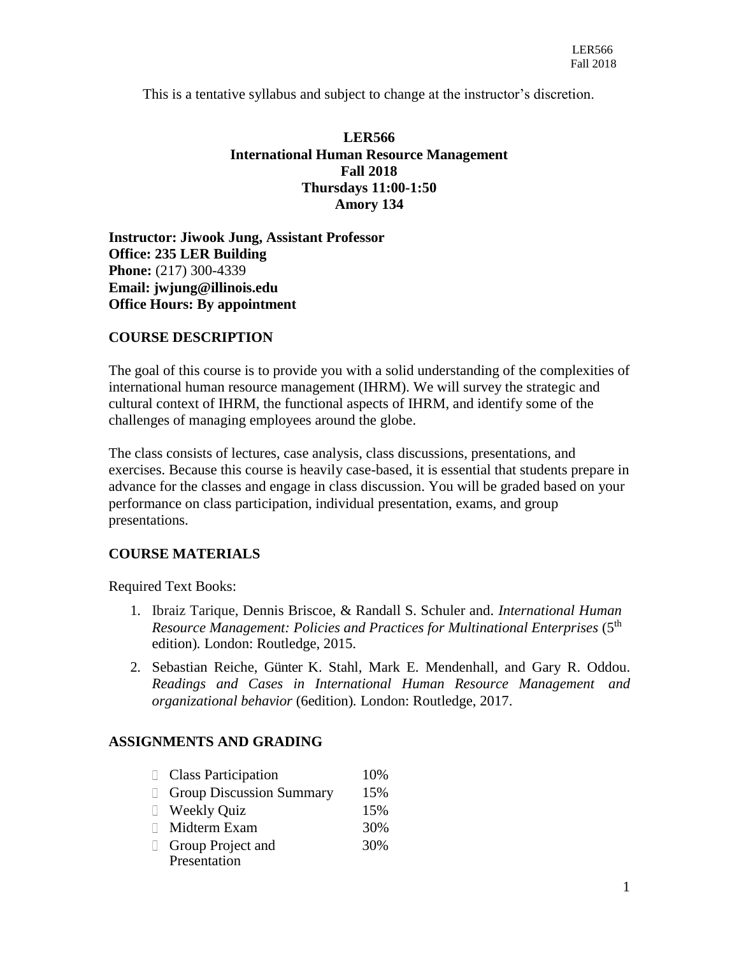This is a tentative syllabus and subject to change at the instructor's discretion.

# **LER566 International Human Resource Management Fall 2018 Thursdays 11:00-1:50 Amory 134**

**Instructor: Jiwook Jung, Assistant Professor Office: 235 LER Building Phone:** (217) 300-4339 **Email: [jwjung@illinois.edu](mailto:ychen01@illinois.edu) Office Hours: By appointment**

# **COURSE DESCRIPTION**

The goal of this course is to provide you with a solid understanding of the complexities of international human resource management (IHRM). We will survey the strategic and cultural context of IHRM, the functional aspects of IHRM, and identify some of the challenges of managing employees around the globe.

The class consists of lectures, case analysis, class discussions, presentations, and exercises. Because this course is heavily case-based, it is essential that students prepare in advance for the classes and engage in class discussion. You will be graded based on your performance on class participation, individual presentation, exams, and group presentations.

# **COURSE MATERIALS**

Required Text Books:

- 1. [Ibraiz Tarique,](http://www.routledge.com/books/search/author/ibraiz_tarique/) Dennis Briscoe, & Randall S. Schuler and. *International Human Resource Management: Policies and Practices for Multinational Enterprises* (5<sup>th</sup>) edition)*.* London: Routledge, 2015.
- 2. Sebastian Reiche, [Günter K. Stahl,](http://www.routledge.com/books/search/author/guenter_k_stahl/) [Mark E. Mendenhall,](http://www.routledge.com/books/search/author/mark_e_mendenhall/) and [Gary R. Oddou.](http://www.routledge.com/books/search/author/gary_r_oddou/) *Readings and Cases in International Human Resource Management and organizational behavior* (6edition)*.* London: Routledge, 2017.

# **ASSIGNMENTS AND GRADING**

| <b>Class Participation</b>      | 10\% |
|---------------------------------|------|
| <b>Group Discussion Summary</b> | 15%  |
| <b>Weekly Quiz</b>              | 15%  |
| Midterm Exam                    | 30%  |
| Group Project and               | 30%  |
| Presentation                    |      |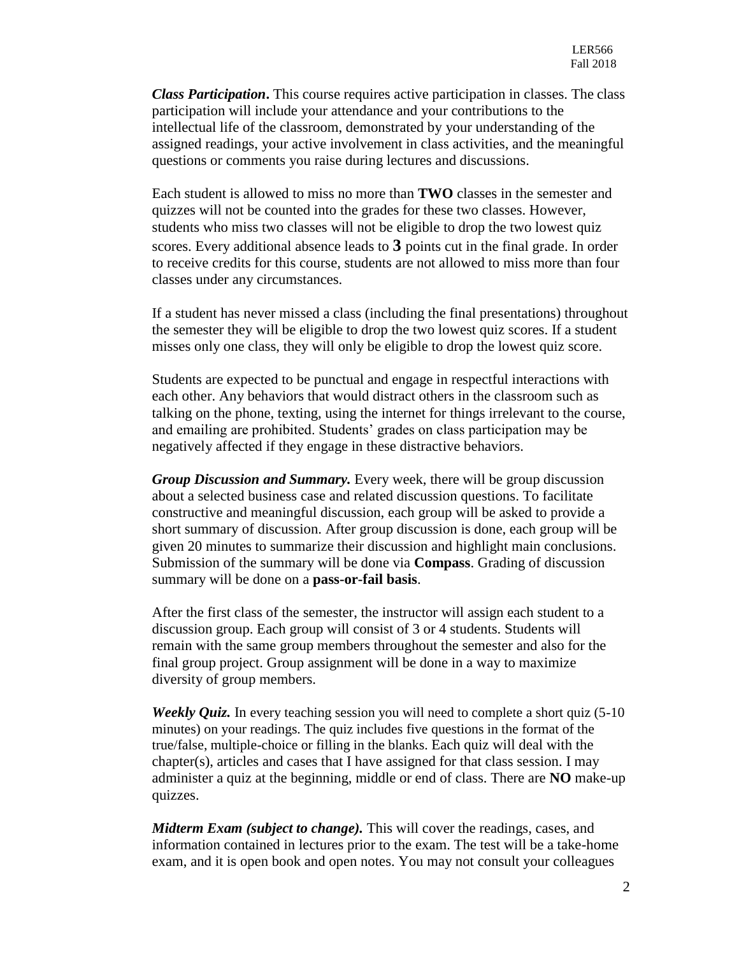*Class Participation***.** This course requires active participation in classes. The class participation will include your attendance and your contributions to the intellectual life of the classroom, demonstrated by your understanding of the assigned readings, your active involvement in class activities, and the meaningful questions or comments you raise during lectures and discussions.

Each student is allowed to miss no more than **TWO** classes in the semester and quizzes will not be counted into the grades for these two classes. However, students who miss two classes will not be eligible to drop the two lowest quiz scores. Every additional absence leads to **3** points cut in the final grade. In order to receive credits for this course, students are not allowed to miss more than four classes under any circumstances.

If a student has never missed a class (including the final presentations) throughout the semester they will be eligible to drop the two lowest quiz scores. If a student misses only one class, they will only be eligible to drop the lowest quiz score.

Students are expected to be punctual and engage in respectful interactions with each other. Any behaviors that would distract others in the classroom such as talking on the phone, texting, using the internet for things irrelevant to the course, and emailing are prohibited. Students' grades on class participation may be negatively affected if they engage in these distractive behaviors.

*Group Discussion and Summary.* Every week, there will be group discussion about a selected business case and related discussion questions. To facilitate constructive and meaningful discussion, each group will be asked to provide a short summary of discussion. After group discussion is done, each group will be given 20 minutes to summarize their discussion and highlight main conclusions. Submission of the summary will be done via **Compass**. Grading of discussion summary will be done on a **pass-or-fail basis**.

After the first class of the semester, the instructor will assign each student to a discussion group. Each group will consist of 3 or 4 students. Students will remain with the same group members throughout the semester and also for the final group project. Group assignment will be done in a way to maximize diversity of group members.

*Weekly Quiz.* In every teaching session you will need to complete a short quiz (5-10) minutes) on your readings. The quiz includes five questions in the format of the true/false, multiple-choice or filling in the blanks. Each quiz will deal with the chapter(s), articles and cases that I have assigned for that class session. I may administer a quiz at the beginning, middle or end of class. There are **NO** make-up quizzes.

*Midterm Exam (subject to change).* This will cover the readings, cases, and information contained in lectures prior to the exam. The test will be a take-home exam, and it is open book and open notes. You may not consult your colleagues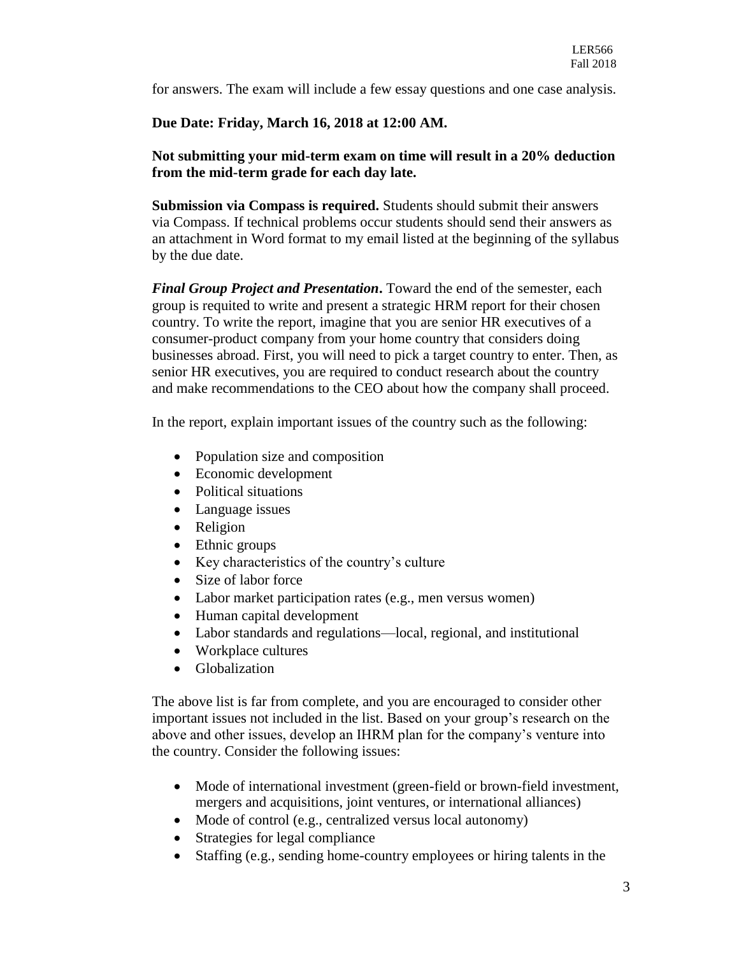for answers. The exam will include a few essay questions and one case analysis.

### **Due Date: Friday, March 16, 2018 at 12:00 AM.**

# **Not submitting your mid-term exam on time will result in a 20% deduction from the mid-term grade for each day late.**

**Submission via Compass is required.** Students should submit their answers via Compass. If technical problems occur students should send their answers as an attachment in Word format to my email listed at the beginning of the syllabus by the due date.

*Final Group Project and Presentation***.** Toward the end of the semester, each group is requited to write and present a strategic HRM report for their chosen country. To write the report, imagine that you are senior HR executives of a consumer-product company from your home country that considers doing businesses abroad. First, you will need to pick a target country to enter. Then, as senior HR executives, you are required to conduct research about the country and make recommendations to the CEO about how the company shall proceed.

In the report, explain important issues of the country such as the following:

- Population size and composition
- Economic development
- Political situations
- Language issues
- Religion
- Ethnic groups
- Key characteristics of the country's culture
- Size of labor force
- Labor market participation rates (e.g., men versus women)
- Human capital development
- Labor standards and regulations—local, regional, and institutional
- Workplace cultures
- Globalization

The above list is far from complete, and you are encouraged to consider other important issues not included in the list. Based on your group's research on the above and other issues, develop an IHRM plan for the company's venture into the country. Consider the following issues:

- Mode of international investment (green-field or brown-field investment, mergers and acquisitions, joint ventures, or international alliances)
- Mode of control (e.g., centralized versus local autonomy)
- Strategies for legal compliance
- Staffing (e.g., sending home-country employees or hiring talents in the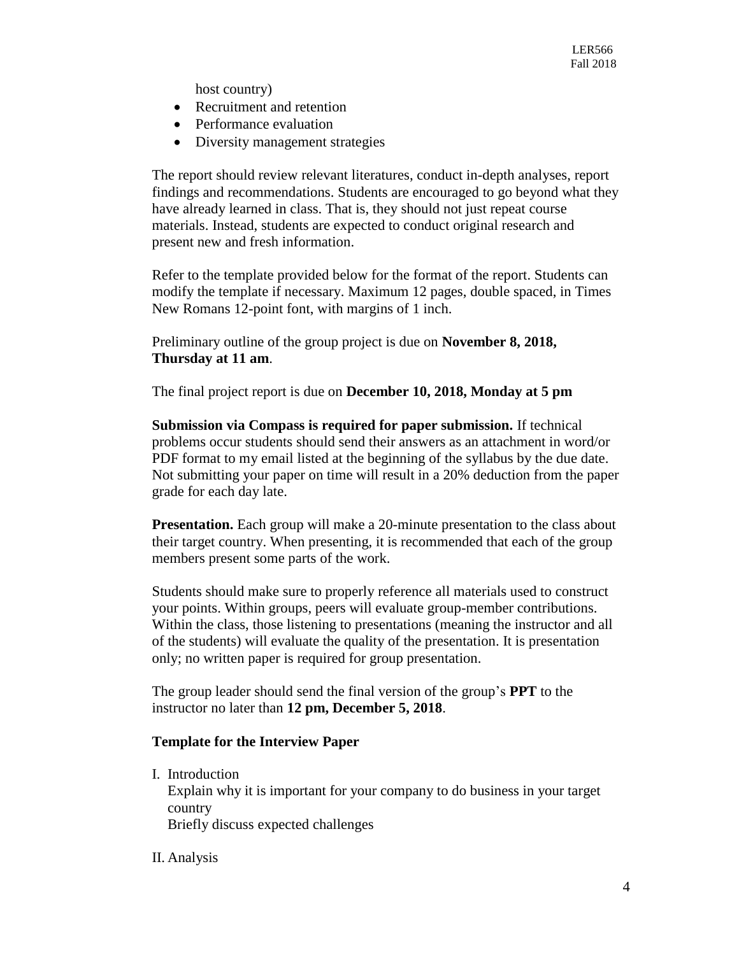host country)

- Recruitment and retention
- Performance evaluation
- Diversity management strategies

The report should review relevant literatures, conduct in-depth analyses, report findings and recommendations. Students are encouraged to go beyond what they have already learned in class. That is, they should not just repeat course materials. Instead, students are expected to conduct original research and present new and fresh information.

Refer to the template provided below for the format of the report. Students can modify the template if necessary. Maximum 12 pages, double spaced, in Times New Romans 12-point font, with margins of 1 inch.

Preliminary outline of the group project is due on **November 8, 2018, Thursday at 11 am**.

The final project report is due on **December 10, 2018, Monday at 5 pm**

**Submission via Compass is required for paper submission.** If technical problems occur students should send their answers as an attachment in word/or PDF format to my email listed at the beginning of the syllabus by the due date. Not submitting your paper on time will result in a 20% deduction from the paper grade for each day late.

**Presentation.** Each group will make a 20-minute presentation to the class about their target country. When presenting, it is recommended that each of the group members present some parts of the work.

Students should make sure to properly reference all materials used to construct your points. Within groups, peers will evaluate group-member contributions. Within the class, those listening to presentations (meaning the instructor and all of the students) will evaluate the quality of the presentation. It is presentation only; no written paper is required for group presentation.

The group leader should send the final version of the group's **PPT** to the instructor no later than **12 pm, December 5, 2018**.

### **Template for the Interview Paper**

I. Introduction

Explain why it is important for your company to do business in your target country

Briefly discuss expected challenges

II. Analysis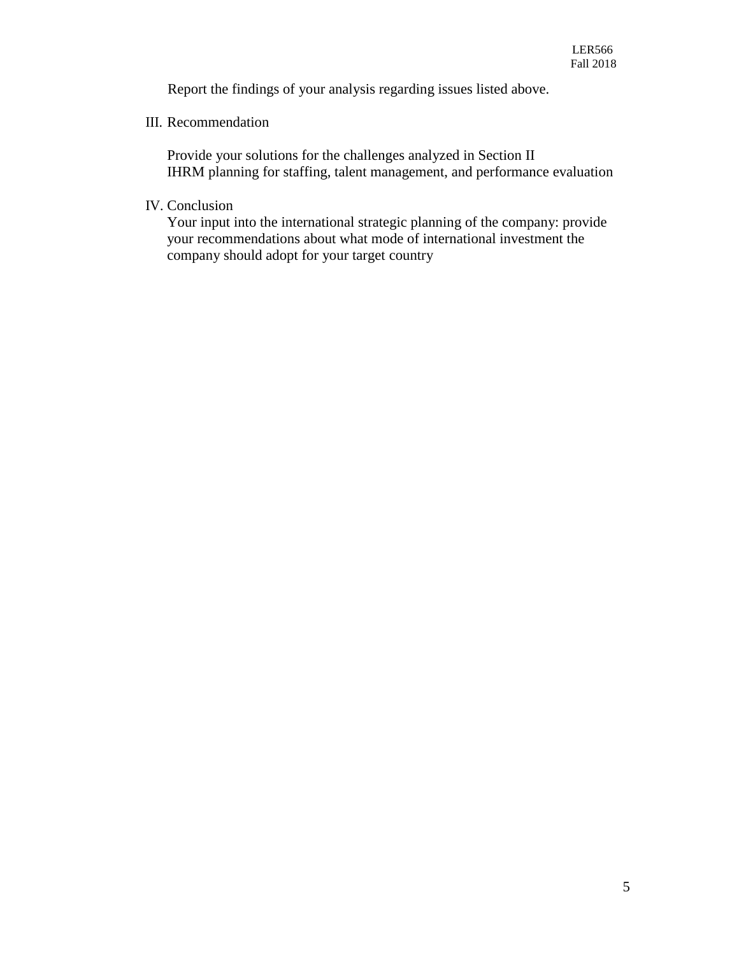Report the findings of your analysis regarding issues listed above.

# III. Recommendation

Provide your solutions for the challenges analyzed in Section II IHRM planning for staffing, talent management, and performance evaluation

IV. Conclusion

Your input into the international strategic planning of the company: provide your recommendations about what mode of international investment the company should adopt for your target country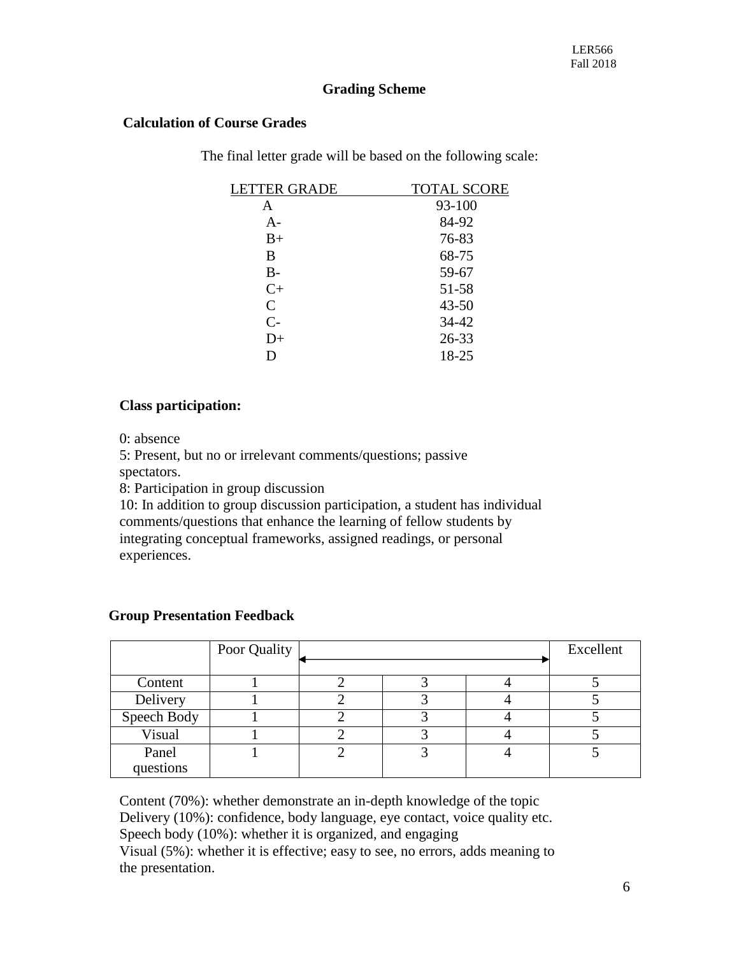# **Grading Scheme**

### **Calculation of Course Grades**

The final letter grade will be based on the following scale:

| LETTER GRADE | <b>TOTAL SCORE</b> |
|--------------|--------------------|
| A            | 93-100             |
| $A-$         | 84-92              |
| $B+$         | 76-83              |
| B            | 68-75              |
| $B -$        | 59-67              |
| $C+$         | 51-58              |
| $\mathsf{C}$ | $43 - 50$          |
| $C-$         | 34-42              |
| $D+$         | 26-33              |
| D            | 18-25              |

### **Class participation:**

0: absence

5: Present, but no or irrelevant comments/questions; passive

spectators.

8: Participation in group discussion

10: In addition to group discussion participation, a student has individual comments/questions that enhance the learning of fellow students by integrating conceptual frameworks, assigned readings, or personal experiences.

### **Group Presentation Feedback**

|             | Poor Quality |  | Excellent |
|-------------|--------------|--|-----------|
|             |              |  |           |
| Content     |              |  |           |
| Delivery    |              |  |           |
| Speech Body |              |  |           |
| Visual      |              |  |           |
| Panel       |              |  |           |
| questions   |              |  |           |

Content (70%): whether demonstrate an in-depth knowledge of the topic Delivery (10%): confidence, body language, eye contact, voice quality etc. Speech body (10%): whether it is organized, and engaging Visual (5%): whether it is effective; easy to see, no errors, adds meaning to the presentation.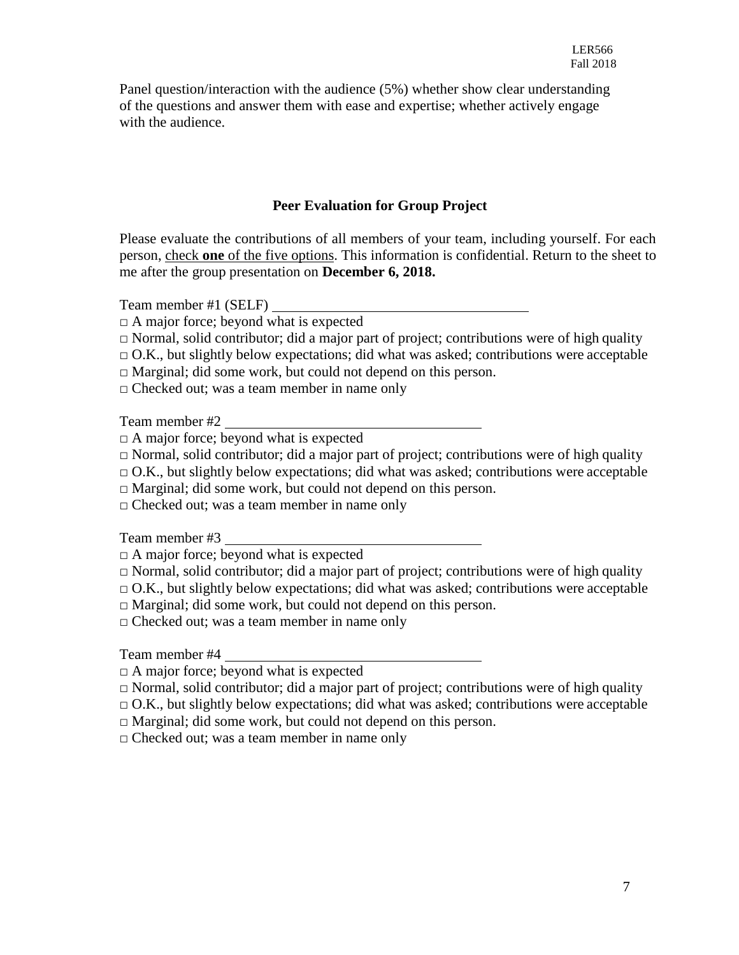Panel question/interaction with the audience (5%) whether show clear understanding of the questions and answer them with ease and expertise; whether actively engage with the audience.

# **Peer Evaluation for Group Project**

Please evaluate the contributions of all members of your team, including yourself. For each person, check **one** of the five options. This information is confidential. Return to the sheet to me after the group presentation on **December 6, 2018.**

Team member #1 (SELF)

- $\Box$  A major force; beyond what is expected
- $\Box$  Normal, solid contributor; did a major part of project; contributions were of high quality
- $\Box$  O.K., but slightly below expectations; did what was asked; contributions were acceptable
- □ Marginal; did some work, but could not depend on this person.
- □ Checked out; was a team member in name only

Team member #2

- $\Box$  A major force; beyond what is expected
- $\Box$  Normal, solid contributor; did a major part of project; contributions were of high quality
- $\Box$  O.K., but slightly below expectations; did what was asked; contributions were acceptable
- □ Marginal; did some work, but could not depend on this person.
- $\Box$  Checked out; was a team member in name only

Team member #3

- $\Box$  A major force; beyond what is expected
- $\Box$  Normal, solid contributor; did a major part of project; contributions were of high quality
- $\Box$  O.K., but slightly below expectations; did what was asked; contributions were acceptable

 $\Box$  Marginal; did some work, but could not depend on this person.

□ Checked out; was a team member in name only

Team member #4

 $\Box$  A major force; beyond what is expected

- $\Box$  Normal, solid contributor; did a major part of project; contributions were of high quality
- $\Box$  O.K., but slightly below expectations; did what was asked; contributions were acceptable
- $\Box$  Marginal; did some work, but could not depend on this person.

 $\Box$  Checked out; was a team member in name only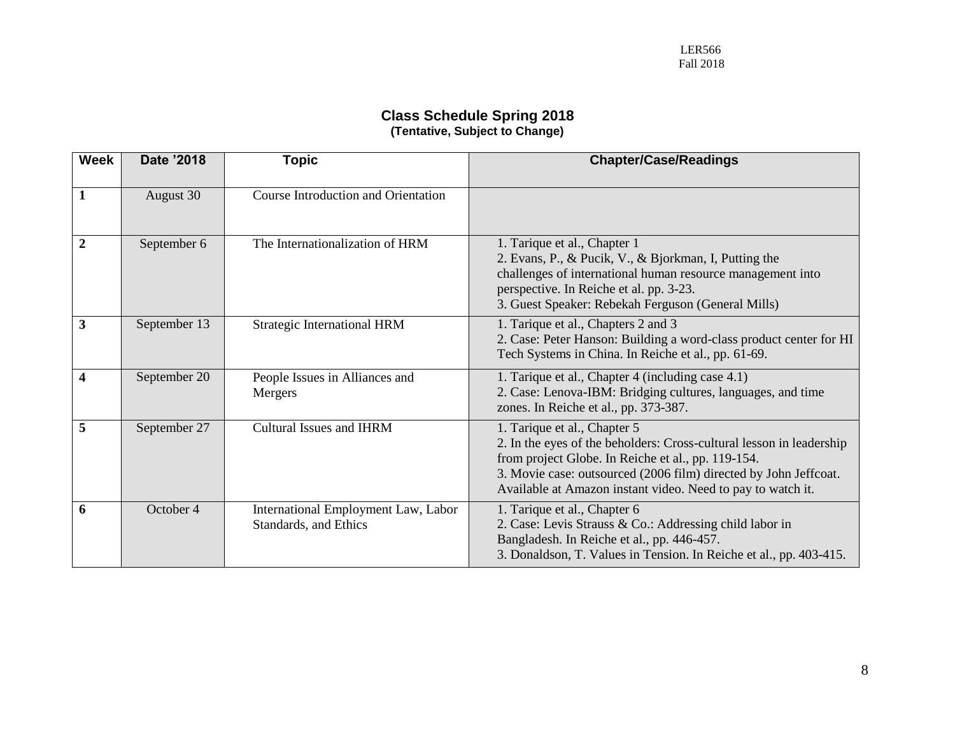#### **Class Schedule Spring 2018 (Tentative, Subject to Change)**

| <b>Week</b>  | Date '2018   | <b>Topic</b>                                                 | <b>Chapter/Case/Readings</b>                                                                                                                                                                                                                                                                  |
|--------------|--------------|--------------------------------------------------------------|-----------------------------------------------------------------------------------------------------------------------------------------------------------------------------------------------------------------------------------------------------------------------------------------------|
| 1            | August 30    | Course Introduction and Orientation                          |                                                                                                                                                                                                                                                                                               |
| $\mathbf{2}$ | September 6  | The Internationalization of HRM                              | 1. Tarique et al., Chapter 1<br>2. Evans, P., & Pucik, V., & Bjorkman, I, Putting the<br>challenges of international human resource management into<br>perspective. In Reiche et al. pp. 3-23.<br>3. Guest Speaker: Rebekah Ferguson (General Mills)                                          |
| 3            | September 13 | <b>Strategic International HRM</b>                           | 1. Tarique et al., Chapters 2 and 3<br>2. Case: Peter Hanson: Building a word-class product center for HI<br>Tech Systems in China. In Reiche et al., pp. 61-69.                                                                                                                              |
| 4            | September 20 | People Issues in Alliances and<br>Mergers                    | 1. Tarique et al., Chapter 4 (including case 4.1)<br>2. Case: Lenova-IBM: Bridging cultures, languages, and time<br>zones. In Reiche et al., pp. 373-387.                                                                                                                                     |
| 5            | September 27 | Cultural Issues and IHRM                                     | 1. Tarique et al., Chapter 5<br>2. In the eyes of the beholders: Cross-cultural lesson in leadership<br>from project Globe. In Reiche et al., pp. 119-154.<br>3. Movie case: outsourced (2006 film) directed by John Jeffcoat.<br>Available at Amazon instant video. Need to pay to watch it. |
| 6            | October 4    | International Employment Law, Labor<br>Standards, and Ethics | 1. Tarique et al., Chapter 6<br>2. Case: Levis Strauss & Co.: Addressing child labor in<br>Bangladesh. In Reiche et al., pp. 446-457.<br>3. Donaldson, T. Values in Tension. In Reiche et al., pp. 403-415.                                                                                   |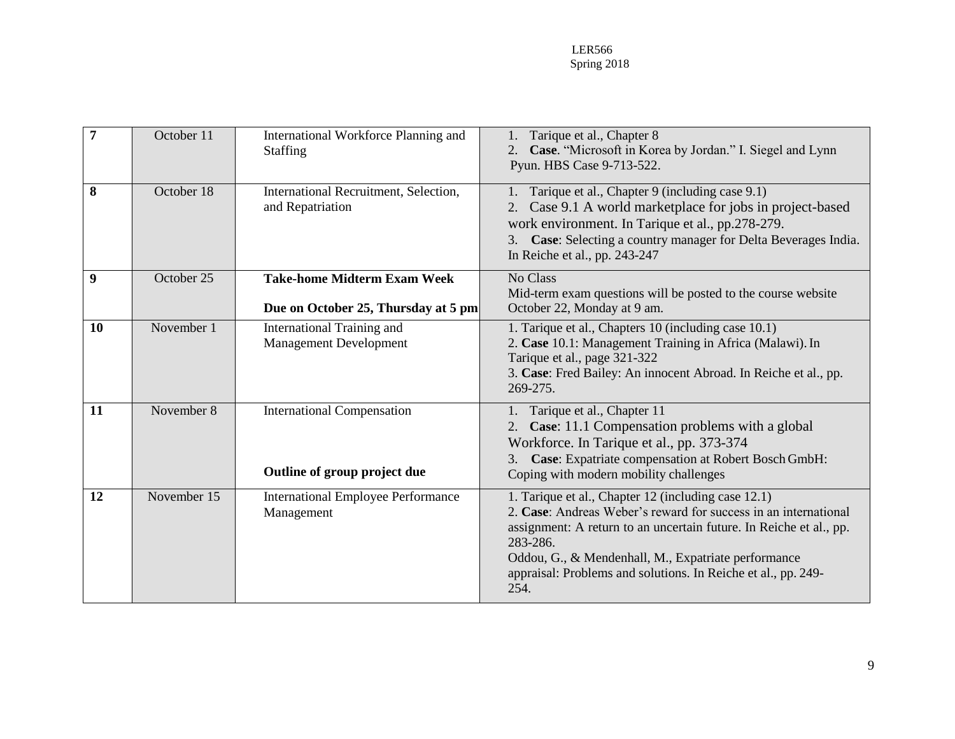LER566 Spring 2018

| 7  | October 11  | International Workforce Planning and<br>Staffing                          | Tarique et al., Chapter 8<br>Case. "Microsoft in Korea by Jordan." I. Siegel and Lynn<br>2.<br>Pyun. HBS Case 9-713-522.                                                                                                                                                                                                                 |
|----|-------------|---------------------------------------------------------------------------|------------------------------------------------------------------------------------------------------------------------------------------------------------------------------------------------------------------------------------------------------------------------------------------------------------------------------------------|
| 8  | October 18  | International Recruitment, Selection,<br>and Repatriation                 | Tarique et al., Chapter 9 (including case 9.1)<br>Case 9.1 A world marketplace for jobs in project-based<br>2.<br>work environment. In Tarique et al., pp.278-279.<br>Case: Selecting a country manager for Delta Beverages India.<br>$\mathfrak{Z}$ .<br>In Reiche et al., pp. 243-247                                                  |
| 9  | October 25  | <b>Take-home Midterm Exam Week</b><br>Due on October 25, Thursday at 5 pm | No Class<br>Mid-term exam questions will be posted to the course website<br>October 22, Monday at 9 am.                                                                                                                                                                                                                                  |
| 10 | November 1  | International Training and<br><b>Management Development</b>               | 1. Tarique et al., Chapters 10 (including case 10.1)<br>2. Case 10.1: Management Training in Africa (Malawi). In<br>Tarique et al., page 321-322<br>3. Case: Fred Bailey: An innocent Abroad. In Reiche et al., pp.<br>269-275.                                                                                                          |
| 11 | November 8  | <b>International Compensation</b><br>Outline of group project due         | 1. Tarique et al., Chapter 11<br>Case: 11.1 Compensation problems with a global<br>2.<br>Workforce. In Tarique et al., pp. 373-374<br>Case: Expatriate compensation at Robert Bosch GmbH:<br>3.<br>Coping with modern mobility challenges                                                                                                |
| 12 | November 15 | <b>International Employee Performance</b><br>Management                   | 1. Tarique et al., Chapter 12 (including case 12.1)<br>2. Case: Andreas Weber's reward for success in an international<br>assignment: A return to an uncertain future. In Reiche et al., pp.<br>283-286.<br>Oddou, G., & Mendenhall, M., Expatriate performance<br>appraisal: Problems and solutions. In Reiche et al., pp. 249-<br>254. |